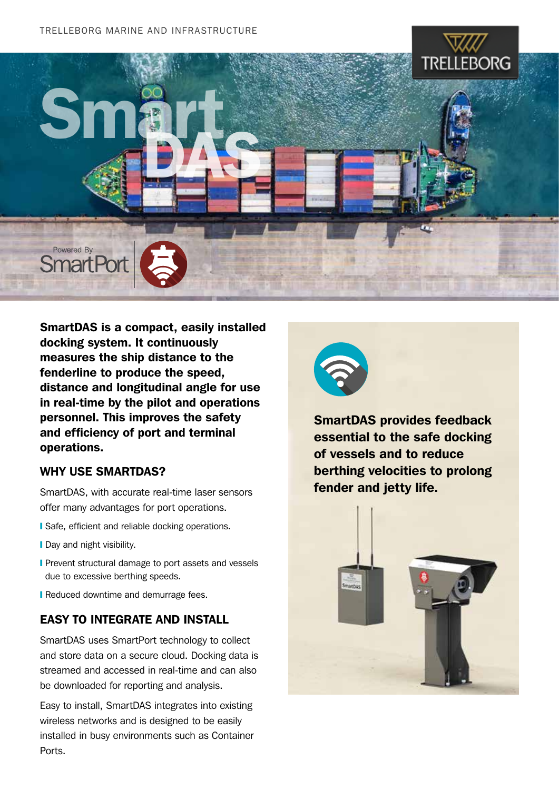

SmartDAS is a compact, easily installed docking system. It continuously measures the ship distance to the fenderline to produce the speed, distance and longitudinal angle for use in real-time by the pilot and operations personnel. This improves the safety and efficiency of port and terminal operations.

#### WHY USE SMARTDAS?

SmartDAS, with accurate real-time laser sensors offer many advantages for port operations.

- **I** Safe, efficient and reliable docking operations.
- **I** Day and night visibility.
- **Prevent structural damage to port assets and vessels** due to excessive berthing speeds.
- **Reduced downtime and demurrage fees.**

#### EASY TO INTEGRATE AND INSTALL

SmartDAS uses SmartPort technology to collect and store data on a secure cloud. Docking data is streamed and accessed in real-time and can also be downloaded for reporting and analysis.

Easy to install, SmartDAS integrates into existing wireless networks and is designed to be easily installed in busy environments such as Container Ports.



SmartDAS provides feedback essential to the safe docking of vessels and to reduce berthing velocities to prolong fender and jetty life.